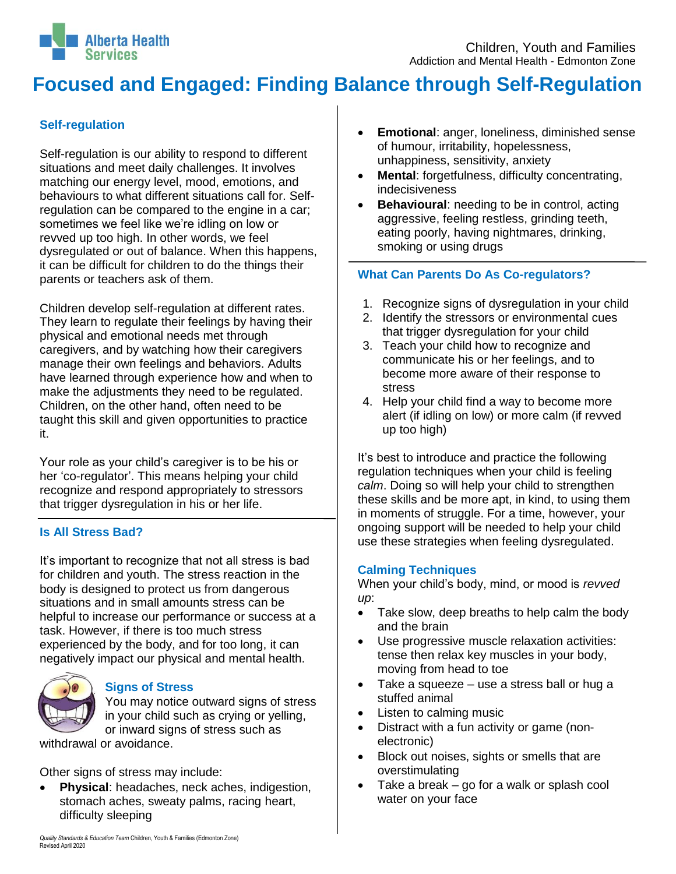

# **Focused and Engaged: Finding Balance through Self-Regulation**

# **Self-regulation**

Self-regulation is our ability to respond to different situations and meet daily challenges. It involves matching our energy level, mood, emotions, and behaviours to what different situations call for. Selfregulation can be compared to the engine in a car; sometimes we feel like we're idling on low or revved up too high. In other words, we feel dysregulated or out of balance. When this happens, it can be difficult for children to do the things their parents or teachers ask of them.

Children develop self-regulation at different rates. They learn to regulate their feelings by having their physical and emotional needs met through caregivers, and by watching how their caregivers manage their own feelings and behaviors. Adults have learned through experience how and when to make the adjustments they need to be regulated. Children, on the other hand, often need to be taught this skill and given opportunities to practice it.

Your role as your child's caregiver is to be his or her 'co-regulator'. This means helping your child recognize and respond appropriately to stressors that trigger dysregulation in his or her life.

#### **Is All Stress Bad?**

It's important to recognize that not all stress is bad for children and youth. The stress reaction in the body is designed to protect us from dangerous situations and in small amounts stress can be helpful to increase our performance or success at a task. However, if there is too much stress experienced by the body, and for too long, it can negatively impact our physical and mental health.



# **Signs of Stress**

You may notice outward signs of stress in your child such as crying or yelling, or inward signs of stress such as

withdrawal or avoidance.

Other signs of stress may include:

 **Physical**: headaches, neck aches, indigestion, stomach aches, sweaty palms, racing heart, difficulty sleeping

- **Emotional**: anger, loneliness, diminished sense of humour, irritability, hopelessness, unhappiness, sensitivity, anxiety
- **Mental**: forgetfulness, difficulty concentrating, indecisiveness
- **Behavioural**: needing to be in control, acting aggressive, feeling restless, grinding teeth, eating poorly, having nightmares, drinking, smoking or using drugs

### **What Can Parents Do As Co-regulators?**

- 1. Recognize signs of dysregulation in your child
- 2. Identify the stressors or environmental cues that trigger dysregulation for your child
- 3. Teach your child how to recognize and communicate his or her feelings, and to become more aware of their response to stress
- 4. Help your child find a way to become more alert (if idling on low) or more calm (if revved up too high)

It's best to introduce and practice the following regulation techniques when your child is feeling *calm*. Doing so will help your child to strengthen these skills and be more apt, in kind, to using them in moments of struggle. For a time, however, your ongoing support will be needed to help your child use these strategies when feeling dysregulated.

#### **Calming Techniques**

When your child's body, mind, or mood is *revved up*:

- Take slow, deep breaths to help calm the body and the brain
- Use progressive muscle relaxation activities: tense then relax key muscles in your body, moving from head to toe
- Take a squeeze use a stress ball or hug a stuffed animal
- Listen to calming music
- Distract with a fun activity or game (nonelectronic)
- Block out noises, sights or smells that are overstimulating
- $\bullet$  Take a break go for a walk or splash cool water on your face